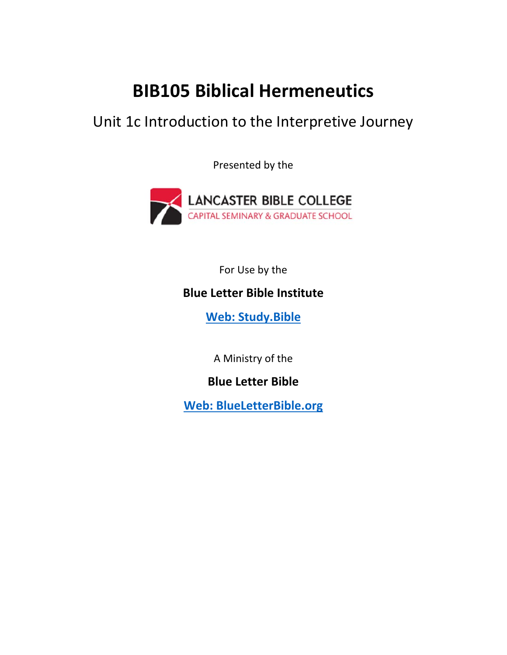## **BIB105 Biblical Hermeneutics**

## Unit 1c Introduction to the Interpretive Journey

Presented by the



For Use by the

## **Blue Letter Bible Institute**

 **[Web: Study.Bible](https://study.bible/welcome)**

A Ministry of the

**Blue Letter Bible** 

**[Web: BlueLetterBible.org](https://www.blueletterbible.org)**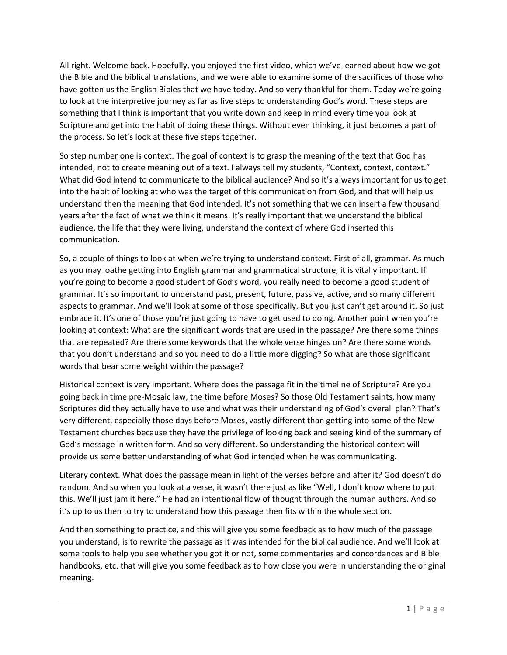All right. Welcome back. Hopefully, you enjoyed the first video, which we've learned about how we got the Bible and the biblical translations, and we were able to examine some of the sacrifices of those who have gotten us the English Bibles that we have today. And so very thankful for them. Today we're going to look at the interpretive journey as far as five steps to understanding God's word. These steps are something that I think is important that you write down and keep in mind every time you look at Scripture and get into the habit of doing these things. Without even thinking, it just becomes a part of the process. So let's look at these five steps together.

So step number one is context. The goal of context is to grasp the meaning of the text that God has intended, not to create meaning out of a text. I always tell my students, "Context, context, context." What did God intend to communicate to the biblical audience? And so it's always important for us to get into the habit of looking at who was the target of this communication from God, and that will help us understand then the meaning that God intended. It's not something that we can insert a few thousand years after the fact of what we think it means. It's really important that we understand the biblical audience, the life that they were living, understand the context of where God inserted this communication.

So, a couple of things to look at when we're trying to understand context. First of all, grammar. As much as you may loathe getting into English grammar and grammatical structure, it is vitally important. If you're going to become a good student of God's word, you really need to become a good student of grammar. It's so important to understand past, present, future, passive, active, and so many different aspects to grammar. And we'll look at some of those specifically. But you just can't get around it. So just embrace it. It's one of those you're just going to have to get used to doing. Another point when you're looking at context: What are the significant words that are used in the passage? Are there some things that are repeated? Are there some keywords that the whole verse hinges on? Are there some words that you don't understand and so you need to do a little more digging? So what are those significant words that bear some weight within the passage?

Historical context is very important. Where does the passage fit in the timeline of Scripture? Are you going back in time pre‐Mosaic law, the time before Moses? So those Old Testament saints, how many Scriptures did they actually have to use and what was their understanding of God's overall plan? That's very different, especially those days before Moses, vastly different than getting into some of the New Testament churches because they have the privilege of looking back and seeing kind of the summary of God's message in written form. And so very different. So understanding the historical context will provide us some better understanding of what God intended when he was communicating.

Literary context. What does the passage mean in light of the verses before and after it? God doesn't do random. And so when you look at a verse, it wasn't there just as like "Well, I don't know where to put this. We'll just jam it here." He had an intentional flow of thought through the human authors. And so it's up to us then to try to understand how this passage then fits within the whole section.

And then something to practice, and this will give you some feedback as to how much of the passage you understand, is to rewrite the passage as it was intended for the biblical audience. And we'll look at some tools to help you see whether you got it or not, some commentaries and concordances and Bible handbooks, etc. that will give you some feedback as to how close you were in understanding the original meaning.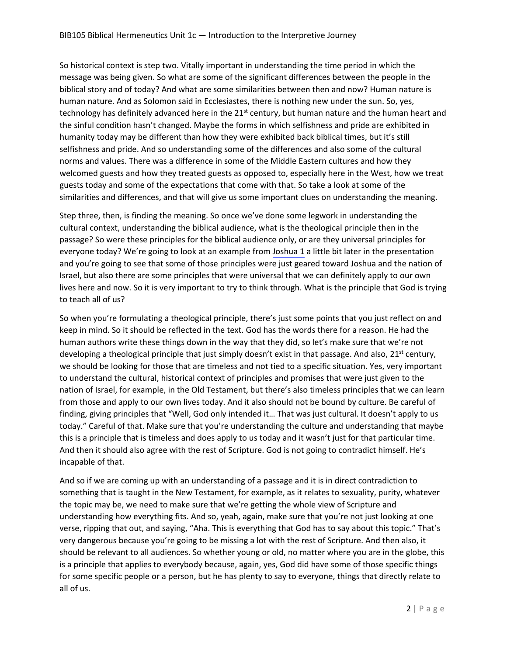So historical context is step two. Vitally important in understanding the time period in which the message was being given. So what are some of the significant differences between the people in the biblical story and of today? And what are some similarities between then and now? Human nature is human nature. And as Solomon said in Ecclesiastes, there is nothing new under the sun. So, yes, technology has definitely advanced here in the 21<sup>st</sup> century, but human nature and the human heart and the sinful condition hasn't changed. Maybe the forms in which selfishness and pride are exhibited in humanity today may be different than how they were exhibited back biblical times, but it's still selfishness and pride. And so understanding some of the differences and also some of the cultural norms and values. There was a difference in some of the Middle Eastern cultures and how they welcomed guests and how they treated guests as opposed to, especially here in the West, how we treat guests today and some of the expectations that come with that. So take a look at some of the similarities and differences, and that will give us some important clues on understanding the meaning.

Step three, then, is finding the meaning. So once we've done some legwork in understanding the cultural context, understanding the biblical audience, what is the theological principle then in the passage? So were these principles for the biblical audience only, or are they universal principles for everyone today? We're going to look at an example from [Joshua 1](https://www.blueletterbible.org/Bible.cfm?b=Jos&c=1&v=1&t=NIV) a little bit later in the presentation and you're going to see that some of those principles were just geared toward Joshua and the nation of Israel, but also there are some principles that were universal that we can definitely apply to our own lives here and now. So it is very important to try to think through. What is the principle that God is trying to teach all of us?

So when you're formulating a theological principle, there's just some points that you just reflect on and keep in mind. So it should be reflected in the text. God has the words there for a reason. He had the human authors write these things down in the way that they did, so let's make sure that we're not developing a theological principle that just simply doesn't exist in that passage. And also, 21<sup>st</sup> century, we should be looking for those that are timeless and not tied to a specific situation. Yes, very important to understand the cultural, historical context of principles and promises that were just given to the nation of Israel, for example, in the Old Testament, but there's also timeless principles that we can learn from those and apply to our own lives today. And it also should not be bound by culture. Be careful of finding, giving principles that "Well, God only intended it… That was just cultural. It doesn't apply to us today." Careful of that. Make sure that you're understanding the culture and understanding that maybe this is a principle that is timeless and does apply to us today and it wasn't just for that particular time. And then it should also agree with the rest of Scripture. God is not going to contradict himself. He's incapable of that.

And so if we are coming up with an understanding of a passage and it is in direct contradiction to something that is taught in the New Testament, for example, as it relates to sexuality, purity, whatever the topic may be, we need to make sure that we're getting the whole view of Scripture and understanding how everything fits. And so, yeah, again, make sure that you're not just looking at one verse, ripping that out, and saying, "Aha. This is everything that God has to say about this topic." That's very dangerous because you're going to be missing a lot with the rest of Scripture. And then also, it should be relevant to all audiences. So whether young or old, no matter where you are in the globe, this is a principle that applies to everybody because, again, yes, God did have some of those specific things for some specific people or a person, but he has plenty to say to everyone, things that directly relate to all of us.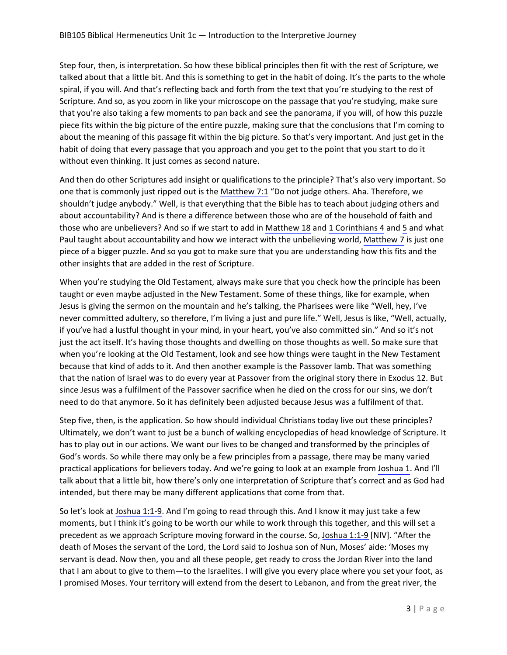Step four, then, is interpretation. So how these biblical principles then fit with the rest of Scripture, we talked about that a little bit. And this is something to get in the habit of doing. It's the parts to the whole spiral, if you will. And that's reflecting back and forth from the text that you're studying to the rest of Scripture. And so, as you zoom in like your microscope on the passage that you're studying, make sure that you're also taking a few moments to pan back and see the panorama, if you will, of how this puzzle piece fits within the big picture of the entire puzzle, making sure that the conclusions that I'm coming to about the meaning of this passage fit within the big picture. So that's very important. And just get in the habit of doing that every passage that you approach and you get to the point that you start to do it without even thinking. It just comes as second nature.

And then do other Scriptures add insight or qualifications to the principle? That's also very important. So one that is commonly just ripped out is the [Matthew 7:1](https://www.blueletterbible.org/Bible.cfm?b=Mat&c=7&v=1&t=NIV) "Do not judge others. Aha. Therefore, we shouldn't judge anybody." Well, is that everything that the Bible has to teach about judging others and about accountability? And is there a difference between those who are of the household of faith and those who are unbelievers? And so if we start to add in [Matthew 18](https://www.blueletterbible.org/Bible.cfm?b=Mat&c=18&v=1&t=NIV) and [1 Corinthians 4](https://www.blueletterbible.org/Bible.cfm?b=1Co&c=4&v=1&t=NIV) and [5](https://www.blueletterbible.org/Bible.cfm?b=1Co&c=5&v=1&t=NIV) and what Paul taught about accountability and how we interact with the unbelieving world, [Matthew 7](https://www.blueletterbible.org/Bible.cfm?b=Mat&c=7&v=1&t=NIV) is just one piece of a bigger puzzle. And so you got to make sure that you are understanding how this fits and the other insights that are added in the rest of Scripture.

When you're studying the Old Testament, always make sure that you check how the principle has been taught or even maybe adjusted in the New Testament. Some of these things, like for example, when Jesus is giving the sermon on the mountain and he's talking, the Pharisees were like "Well, hey, I've never committed adultery, so therefore, I'm living a just and pure life." Well, Jesus is like, "Well, actually, if you've had a lustful thought in your mind, in your heart, you've also committed sin." And so it's not just the act itself. It's having those thoughts and dwelling on those thoughts as well. So make sure that when you're looking at the Old Testament, look and see how things were taught in the New Testament because that kind of adds to it. And then another example is the Passover lamb. That was something that the nation of Israel was to do every year at Passover from the original story there in Exodus 12. But since Jesus was a fulfilment of the Passover sacrifice when he died on the cross for our sins, we don't need to do that anymore. So it has definitely been adjusted because Jesus was a fulfilment of that.

Step five, then, is the application. So how should individual Christians today live out these principles? Ultimately, we don't want to just be a bunch of walking encyclopedias of head knowledge of Scripture. It has to play out in our actions. We want our lives to be changed and transformed by the principles of God's words. So while there may only be a few principles from a passage, there may be many varied practical applications for believers today. And we're going to look at an example from [Joshua 1](https://www.blueletterbible.org/Bible.cfm?b=Jos&c=1&v=1&t=NIV). And I'll talk about that a little bit, how there's only one interpretation of Scripture that's correct and as God had intended, but there may be many different applications that come from that.

So let's look at Joshua 1:1-9. And I'm going to read through this. And I know it may just take a few moments, but I think it's going to be worth our while to work through this together, and this will set a precedent as we approach Scripture moving forward in the course. So, [Joshua 1:1‐9](https://www.blueletterbible.org/Bible.cfm?b=Jos&c=1&v=1-9&t=NIV) [NIV]. "After the death of Moses the servant of the Lord, the Lord said to Joshua son of Nun, Moses' aide: 'Moses my servant is dead. Now then, you and all these people, get ready to cross the Jordan River into the land that I am about to give to them—to the Israelites. I will give you every place where you set your foot, as I promised Moses. Your territory will extend from the desert to Lebanon, and from the great river, the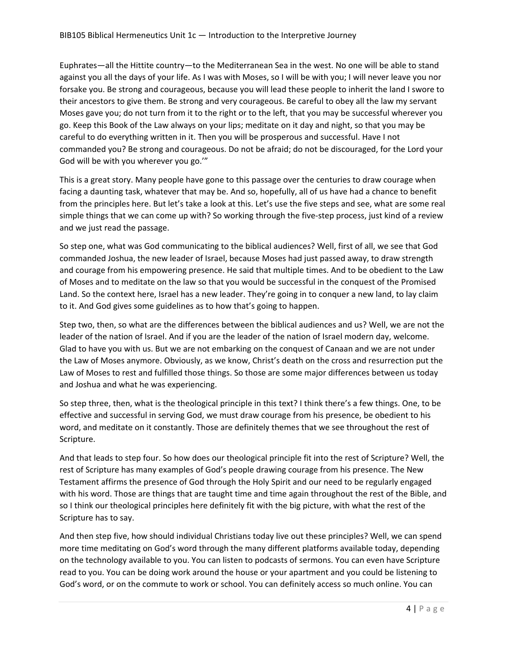Euphrates—all the Hittite country—to the Mediterranean Sea in the west. No one will be able to stand against you all the days of your life. As I was with Moses, so I will be with you; I will never leave you nor forsake you. Be strong and courageous, because you will lead these people to inherit the land I swore to their ancestors to give them. Be strong and very courageous. Be careful to obey all the law my servant Moses gave you; do not turn from it to the right or to the left, that you may be successful wherever you go. Keep this Book of the Law always on your lips; meditate on it day and night, so that you may be careful to do everything written in it. Then you will be prosperous and successful. Have I not commanded you? Be strong and courageous. Do not be afraid; do not be discouraged, for the Lord your God will be with you wherever you go.'"

This is a great story. Many people have gone to this passage over the centuries to draw courage when facing a daunting task, whatever that may be. And so, hopefully, all of us have had a chance to benefit from the principles here. But let's take a look at this. Let's use the five steps and see, what are some real simple things that we can come up with? So working through the five-step process, just kind of a review and we just read the passage.

So step one, what was God communicating to the biblical audiences? Well, first of all, we see that God commanded Joshua, the new leader of Israel, because Moses had just passed away, to draw strength and courage from his empowering presence. He said that multiple times. And to be obedient to the Law of Moses and to meditate on the law so that you would be successful in the conquest of the Promised Land. So the context here, Israel has a new leader. They're going in to conquer a new land, to lay claim to it. And God gives some guidelines as to how that's going to happen.

Step two, then, so what are the differences between the biblical audiences and us? Well, we are not the leader of the nation of Israel. And if you are the leader of the nation of Israel modern day, welcome. Glad to have you with us. But we are not embarking on the conquest of Canaan and we are not under the Law of Moses anymore. Obviously, as we know, Christ's death on the cross and resurrection put the Law of Moses to rest and fulfilled those things. So those are some major differences between us today and Joshua and what he was experiencing.

So step three, then, what is the theological principle in this text? I think there's a few things. One, to be effective and successful in serving God, we must draw courage from his presence, be obedient to his word, and meditate on it constantly. Those are definitely themes that we see throughout the rest of Scripture.

And that leads to step four. So how does our theological principle fit into the rest of Scripture? Well, the rest of Scripture has many examples of God's people drawing courage from his presence. The New Testament affirms the presence of God through the Holy Spirit and our need to be regularly engaged with his word. Those are things that are taught time and time again throughout the rest of the Bible, and so I think our theological principles here definitely fit with the big picture, with what the rest of the Scripture has to say.

And then step five, how should individual Christians today live out these principles? Well, we can spend more time meditating on God's word through the many different platforms available today, depending on the technology available to you. You can listen to podcasts of sermons. You can even have Scripture read to you. You can be doing work around the house or your apartment and you could be listening to God's word, or on the commute to work or school. You can definitely access so much online. You can